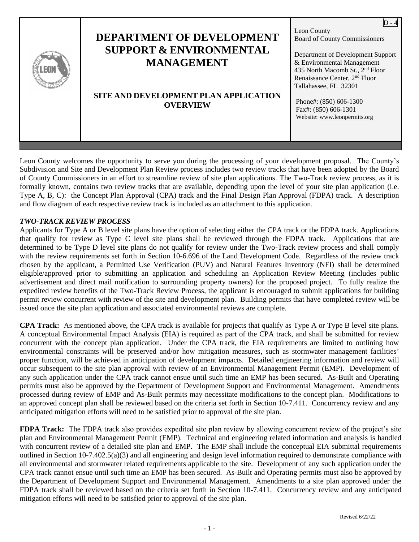| Leon County<br><b>DEPARTMENT OF DEVELOPMENT</b><br><b>Board of County Commissioners</b><br><b>SUPPORT &amp; ENVIRONMENTAL</b><br>Department of Development Support<br><b>MANAGEMENT</b><br>& Environmental Management<br>435 North Macomb St., 2 <sup>nd</sup> Floor<br>Renaissance Center, 2 <sup>nd</sup> Floor<br>Tallahassee, FL 32301<br>SITE AND DEVELOPMENT PLAN APPLICATION<br>Phone#: (850) 606-1300<br><b>OVERVIEW</b> |
|----------------------------------------------------------------------------------------------------------------------------------------------------------------------------------------------------------------------------------------------------------------------------------------------------------------------------------------------------------------------------------------------------------------------------------|
|----------------------------------------------------------------------------------------------------------------------------------------------------------------------------------------------------------------------------------------------------------------------------------------------------------------------------------------------------------------------------------------------------------------------------------|

Leon County welcomes the opportunity to serve you during the processing of your development proposal. The County's Subdivision and Site and Development Plan Review process includes two review tracks that have been adopted by the Board of County Commissioners in an effort to streamline review of site plan applications. The Two-Track review process, as it is formally known, contains two review tracks that are available, depending upon the level of your site plan application (i.e. Type A, B, C): the Concept Plan Approval (CPA) track and the Final Design Plan Approval (FDPA) track. A description and flow diagram of each respective review track is included as an attachment to this application.

#### *TWO-TRACK REVIEW PROCESS*

Applicants for Type A or B level site plans have the option of selecting either the CPA track or the FDPA track. Applications that qualify for review as Type C level site plans shall be reviewed through the FDPA track. Applications that are determined to be Type D level site plans do not qualify for review under the Two-Track review process and shall comply with the review requirements set forth in Section 10-6.696 of the Land Development Code. Regardless of the review track chosen by the applicant, a Permitted Use Verification (PUV) and Natural Features Inventory (NFI) shall be determined eligible/approved prior to submitting an application and scheduling an Application Review Meeting (includes public advertisement and direct mail notification to surrounding property owners) for the proposed project. To fully realize the expedited review benefits of the Two-Track Review Process, the applicant is encouraged to submit applications for building permit review concurrent with review of the site and development plan. Building permits that have completed review will be issued once the site plan application and associated environmental reviews are complete.

**CPA Track:** As mentioned above, the CPA track is available for projects that qualify as Type A or Type B level site plans. A conceptual Environmental Impact Analysis (EIA) is required as part of the CPA track, and shall be submitted for review concurrent with the concept plan application. Under the CPA track, the EIA requirements are limited to outlining how environmental constraints will be preserved and/or how mitigation measures, such as stormwater management facilities' proper function, will be achieved in anticipation of development impacts. Detailed engineering information and review will occur subsequent to the site plan approval with review of an Environmental Management Permit (EMP). Development of any such application under the CPA track cannot ensue until such time an EMP has been secured. As-Built and Operating permits must also be approved by the Department of Development Support and Environmental Management. Amendments processed during review of EMP and As-Built permits may necessitate modifications to the concept plan. Modifications to an approved concept plan shall be reviewed based on the criteria set forth in Section 10-7.411. Concurrency review and any anticipated mitigation efforts will need to be satisfied prior to approval of the site plan.

**FDPA Track:** The FDPA track also provides expedited site plan review by allowing concurrent review of the project's site plan and Environmental Management Permit (EMP). Technical and engineering related information and analysis is handled with concurrent review of a detailed site plan and EMP. The EMP shall include the conceptual EIA submittal requirements outlined in Section 10-7.402.5(a)(3) and all engineering and design level information required to demonstrate compliance with all environmental and stormwater related requirements applicable to the site. Development of any such application under the CPA track cannot ensue until such time an EMP has been secured. As-Built and Operating permits must also be approved by the Department of Development Support and Environmental Management. Amendments to a site plan approved under the FDPA track shall be reviewed based on the criteria set forth in Section 10-7.411. Concurrency review and any anticipated mitigation efforts will need to be satisfied prior to approval of the site plan.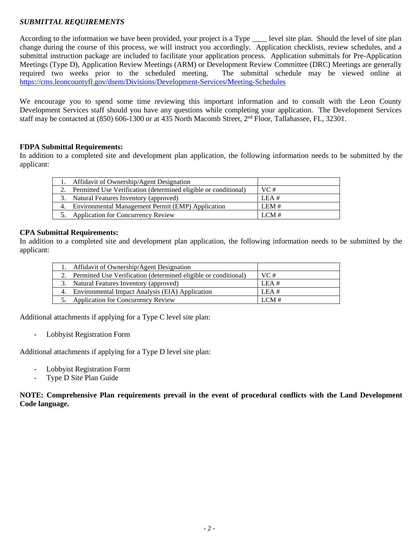#### *SUBMITTAL REQUIREMENTS*

According to the information we have been provided, your project is a Type \_\_\_\_ level site plan. Should the level of site plan change during the course of this process, we will instruct you accordingly. Application checklists, review schedules, and a submittal instruction package are included to facilitate your application process. Application submittals for Pre-Application Meetings (Type D), Application Review Meetings (ARM) or Development Review Committee (DRC) Meetings are generally required two weeks prior to the scheduled meeting. The submittal schedule may be viewed online at <https://cms.leoncountyfl.gov/dsem/Divisions/Development-Services/Meeting-Schedules>

We encourage you to spend some time reviewing this important information and to consult with the Leon County Development Services staff should you have any questions while completing your application. The Development Services staff may be contacted at (850) 606-1300 or at 435 North Macomb Street, 2<sup>nd</sup> Floor, Tallahassee, FL, 32301.

#### **FDPA Submittal Requirements:**

In addition to a completed site and development plan application, the following information needs to be submitted by the applicant:

|  | Affidavit of Ownership/Agent Designation                        |      |
|--|-----------------------------------------------------------------|------|
|  | Permitted Use Verification (determined eligible or conditional) | VC#  |
|  | 3. Natural Features Inventory (approved)                        | LEA# |
|  | 4. Environmental Management Permit (EMP) Application            | LEM# |
|  | 5. Application for Concurrency Review                           | LCM# |
|  |                                                                 |      |

#### **CPA Submittal Requirements:**

In addition to a completed site and development plan application, the following information needs to be submitted by the applicant:

|    | 1. Affidavit of Ownership/Agent Designation                     |       |
|----|-----------------------------------------------------------------|-------|
|    | Permitted Use Verification (determined eligible or conditional) | VC#   |
|    | 3. Natural Features Inventory (approved)                        | LEA#  |
|    | 4. Environmental Impact Analysis (EIA) Application              | LEA # |
| 5. | <b>Application for Concurrency Review</b>                       | LCM#  |

Additional attachments if applying for a Type C level site plan:

- Lobbyist Registration Form

Additional attachments if applying for a Type D level site plan:

- Lobbyist Registration Form
- Type D Site Plan Guide

**NOTE: Comprehensive Plan requirements prevail in the event of procedural conflicts with the Land Development Code language.**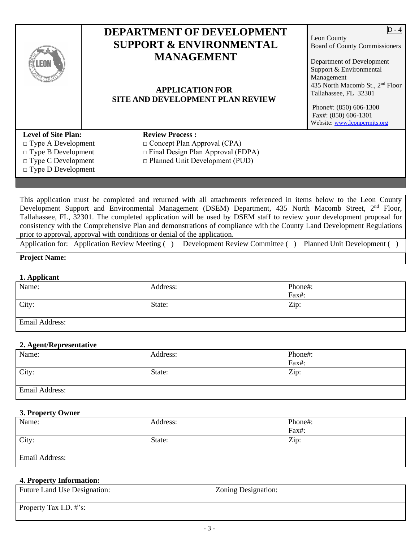| <b>.EOI</b>                                             | <b>DEPARTMENT OF DEVELOPMENT</b><br><b>SUPPORT &amp; ENVIRONMENTAL</b><br><b>MANAGEMENT</b><br><b>APPLICATION FOR</b><br><b>SITE AND DEVELOPMENT PLAN REVIEW</b> | Leon County<br><b>Board of County Commissioners</b><br>Department of Development<br>Support & Environmental<br>Management<br>435 North Macomb St., 2 <sup>nd</sup> Floor<br>Tallahassee, FL 32301<br>Phone#: (850) 606-1300<br>Fax#: (850) 606-1301<br>Website: www.leonpermits.org |
|---------------------------------------------------------|------------------------------------------------------------------------------------------------------------------------------------------------------------------|-------------------------------------------------------------------------------------------------------------------------------------------------------------------------------------------------------------------------------------------------------------------------------------|
| <b>Level of Site Plan:</b><br>$\Box$ Type A Development | <b>Review Process:</b><br>$\Box$ Concept Plan Approval (CPA)                                                                                                     |                                                                                                                                                                                                                                                                                     |
| $\Box$ Type B Development                               | $\Box$ Final Design Plan Approval (FDPA)                                                                                                                         |                                                                                                                                                                                                                                                                                     |
| $\Box$ Type C Development<br>$\Box$ Type D Development  | $\Box$ Planned Unit Development (PUD)                                                                                                                            |                                                                                                                                                                                                                                                                                     |

This application must be completed and returned with all attachments referenced in items below to the Leon County Development Support and Environmental Management (DSEM) Department, 435 North Macomb Street, 2<sup>nd</sup> Floor, Tallahassee, FL, 32301. The completed application will be used by DSEM staff to review your development proposal for consistency with the Comprehensive Plan and demonstrations of compliance with the County Land Development Regulations prior to approval, approval with conditions or denial of the application.

Application for: Application Review Meeting ( ) Development Review Committee ( ) Planned Unit Development ( )

#### **Project Name:**

#### **1. Applicant**

| Name:                 | Address: | Phone#: |
|-----------------------|----------|---------|
|                       |          |         |
|                       |          | Fax#:   |
| City:                 | State:   | Zip:    |
|                       |          |         |
|                       |          |         |
| <b>Email Address:</b> |          |         |
|                       |          |         |
|                       |          |         |

#### **2. Agent/Representative**

| — <del>⊶</del><br>Name: | Address: | Phone#: |
|-------------------------|----------|---------|
|                         |          | Fax#:   |
| City:                   | State:   | Zip:    |
| Email Address:          |          |         |

#### **3. Property Owner**

| Name:          | Address: | Phone#: |
|----------------|----------|---------|
|                |          | Fax#:   |
| City:          | State:   | Zip:    |
|                |          |         |
| Email Address: |          |         |

#### **4. Property Information:**

| <b>Future Land Use Designation:</b> | Zoning Designation: |
|-------------------------------------|---------------------|
|                                     |                     |
| Property Tax I.D. #'s:              |                     |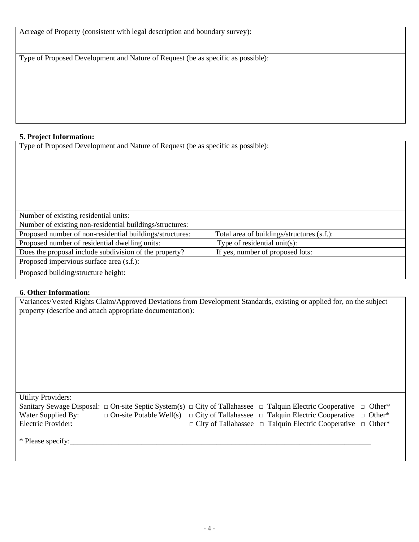Acreage of Property (consistent with legal description and boundary survey):

Type of Proposed Development and Nature of Request (be as specific as possible):

# **5. Project Information:**

Type of Proposed Development and Nature of Request (be as specific as possible):

| Number of existing residential units:                    |                                            |  |
|----------------------------------------------------------|--------------------------------------------|--|
| Number of existing non-residential buildings/structures: |                                            |  |
| Proposed number of non-residential buildings/structures: | Total area of buildings/structures (s.f.): |  |
| Proposed number of residential dwelling units:           | Type of residential unit(s):               |  |
| Does the proposal include subdivision of the property?   | If yes, number of proposed lots:           |  |
| Proposed impervious surface area (s.f.):                 |                                            |  |
| Proposed building/structure height:                      |                                            |  |

# **6. Other Information:**

Variances/Vested Rights Claim/Approved Deviations from Development Standards, existing or applied for, on the subject property (describe and attach appropriate documentation):

Utility Providers: Sanitary Sewage Disposal:  $\Box$  On-site Septic System(s)  $\Box$  City of Tallahassee  $\Box$  Talquin Electric Cooperative  $\Box$  Other\* Water Supplied By:  $\Box$  On-site Potable Well(s)  $\Box$  City of Tallahassee  $\Box$  Talquin Electric Cooperative  $\Box$  Other\*  $\Box$  Electric Provider:  $\Box$  Other\* □ City of Tallahassee □ Talquin Electric Cooperative □ Other\*

\* Please specify: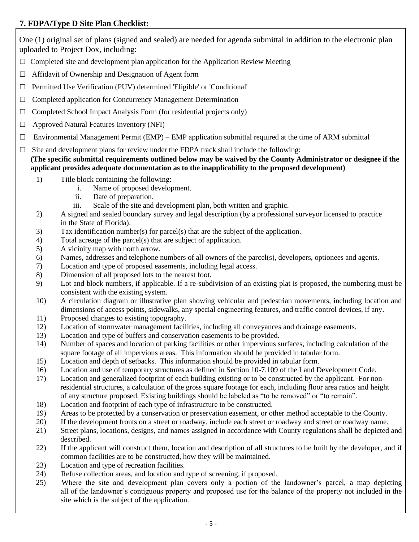# **7. FDPA/Type D Site Plan Checklist:**

One (1) original set of plans (signed and sealed) are needed for agenda submittal in addition to the electronic plan uploaded to Project Dox, including:

- $\Box$  Completed site and development plan application for the Application Review Meeting
- $\Box$  Affidavit of Ownership and Designation of Agent form
- □ Permitted Use Verification (PUV) determined 'Eligible' or 'Conditional'
- □ Completed application for Concurrency Management Determination
- $\Box$  Completed School Impact Analysis Form (for residential projects only)
- □ Approved Natural Features Inventory (NFI)
- $\Box$  Environmental Management Permit (EMP) EMP application submittal required at the time of ARM submittal
- $\Box$  Site and development plans for review under the FDPA track shall include the following:

 **(The specific submittal requirements outlined below may be waived by the County Administrator or designee if the applicant provides adequate documentation as to the inapplicability to the proposed development)**

- 1) Title block containing the following:
	- i. Name of proposed development.
	- ii. Date of preparation.
	- iii. Scale of the site and development plan, both written and graphic.
- 2) A signed and sealed boundary survey and legal description (by a professional surveyor licensed to practice in the State of Florida).
- 3) Tax identification number(s) for parcel(s) that are the subject of the application.
- 4) Total acreage of the parcel(s) that are subject of application.
- 5) A vicinity map with north arrow.
- 6) Names, addresses and telephone numbers of all owners of the parcel(s), developers, optionees and agents.
- 7) Location and type of proposed easements, including legal access.
- 8) Dimension of all proposed lots to the nearest foot.
- 9) Lot and block numbers, if applicable. If a re-subdivision of an existing plat is proposed, the numbering must be consistent with the existing system.
- 10) A circulation diagram or illustrative plan showing vehicular and pedestrian movements, including location and dimensions of access points, sidewalks, any special engineering features, and traffic control devices, if any.
- 11) Proposed changes to existing topography.
- 12) Location of stormwater management facilities, including all conveyances and drainage easements.
- 13) Location and type of buffers and conservation easements to be provided.
- 14) Number of spaces and location of parking facilities or other impervious surfaces, including calculation of the square footage of all impervious areas. This information should be provided in tabular form.
- 15) Location and depth of setbacks. This information should be provided in tabular form.
- 16) Location and use of temporary structures as defined in Section 10-7.109 of the Land Development Code.
- 17) Location and generalized footprint of each building existing or to be constructed by the applicant. For non residential structures, a calculation of the gross square footage for each, including floor area ratios and height of any structure proposed. Existing buildings should be labeled as "to be removed" or "to remain".
- 18) Location and footprint of each type of infrastructure to be constructed.
- 19) Areas to be protected by a conservation or preservation easement, or other method acceptable to the County.
- 20) If the development fronts on a street or roadway, include each street or roadway and street or roadway name.
- 21) Street plans, locations, designs, and names assigned in accordance with County regulations shall be depicted and described.
- 22) If the applicant will construct them, location and description of all structures to be built by the developer, and if common facilities are to be constructed, how they will be maintained.
- 23) Location and type of recreation facilities.
- 24) Refuse collection areas, and location and type of screening, if proposed.
- 25) Where the site and development plan covers only a portion of the landowner's parcel, a map depicting all of the landowner's contiguous property and proposed use for the balance of the property not included in the site which is the subject of the application.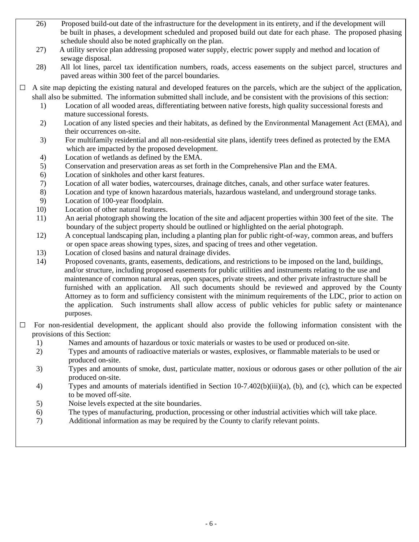- 26) Proposed build-out date of the infrastructure for the development in its entirety, and if the development will be built in phases, a development scheduled and proposed build out date for each phase. The proposed phasing schedule should also be noted graphically on the plan.
- 27) A utility service plan addressing proposed water supply, electric power supply and method and location of sewage disposal.
- 28) All lot lines, parcel tax identification numbers, roads, access easements on the subject parcel, structures and paved areas within 300 feet of the parcel boundaries.
- $\Box$  A site map depicting the existing natural and developed features on the parcels, which are the subject of the application, shall also be submitted. The information submitted shall include, and be consistent with the provisions of this section:
	- 1) Location of all wooded areas, differentiating between native forests, high quality successional forests and mature successional forests.
	- 2) Location of any listed species and their habitats, as defined by the Environmental Management Act (EMA), and their occurrences on-site.
	- 3) For multifamily residential and all non-residential site plans, identify trees defined as protected by the EMA which are impacted by the proposed development.
	- 4) Location of wetlands as defined by the EMA.
	- 5) Conservation and preservation areas as set forth in the Comprehensive Plan and the EMA.
	- 6) Location of sinkholes and other karst features.
	- 7) Location of all water bodies, watercourses, drainage ditches, canals, and other surface water features.
	- 8) Location and type of known hazardous materials, hazardous wasteland, and underground storage tanks.
	- 9) Location of 100-year floodplain.
	- 10) Location of other natural features.
	- 11) An aerial photograph showing the location of the site and adjacent properties within 300 feet of the site. The boundary of the subject property should be outlined or highlighted on the aerial photograph.
	- 12) A conceptual landscaping plan, including a planting plan for public right-of-way, common areas, and buffers or open space areas showing types, sizes, and spacing of trees and other vegetation.
	- 13) Location of closed basins and natural drainage divides.
	- 14) Proposed covenants, grants, easements, dedications, and restrictions to be imposed on the land, buildings, and/or structure, including proposed easements for public utilities and instruments relating to the use and maintenance of common natural areas, open spaces, private streets, and other private infrastructure shall be furnished with an application. All such documents should be reviewed and approved by the County Attorney as to form and sufficiency consistent with the minimum requirements of the LDC, prior to action on the application. Such instruments shall allow access of public vehicles for public safety or maintenance purposes.
- $\Box$  For non-residential development, the applicant should also provide the following information consistent with the provisions of this Section:
	- 1) Names and amounts of hazardous or toxic materials or wastes to be used or produced on-site.
	- 2) Types and amounts of radioactive materials or wastes, explosives, or flammable materials to be used or produced on-site.
	- 3) Types and amounts of smoke, dust, particulate matter, noxious or odorous gases or other pollution of the air produced on-site.
	- 4) Types and amounts of materials identified in Section 10-7.402(b)(iii)(a), (b), and (c), which can be expected to be moved off-site.
	- 5) Noise levels expected at the site boundaries.
	- 6) The types of manufacturing, production, processing or other industrial activities which will take place.
	- 7) Additional information as may be required by the County to clarify relevant points.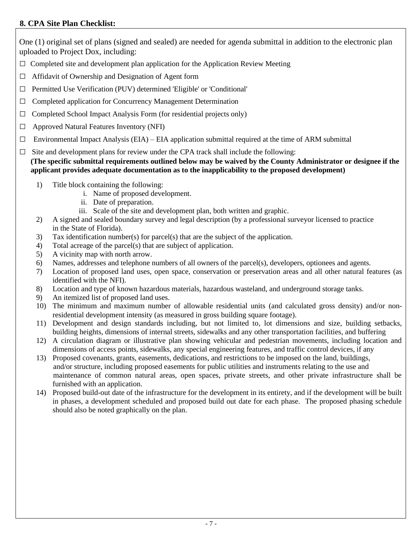# **8. CPA Site Plan Checklist:**

One (1) original set of plans (signed and sealed) are needed for agenda submittal in addition to the electronic plan uploaded to Project Dox, including:

- $\square$  Completed site and development plan application for the Application Review Meeting
- $\Box$  Affidavit of Ownership and Designation of Agent form
- □ Permitted Use Verification (PUV) determined 'Eligible' or 'Conditional'
- □ Completed application for Concurrency Management Determination
- $\Box$  Completed School Impact Analysis Form (for residential projects only)
- □ Approved Natural Features Inventory (NFI)
- $\square$  Environmental Impact Analysis (EIA) EIA application submittal required at the time of ARM submittal
- $\Box$  Site and development plans for review under the CPA track shall include the following:

 **(The specific submittal requirements outlined below may be waived by the County Administrator or designee if the applicant provides adequate documentation as to the inapplicability to the proposed development)**

- 1) Title block containing the following:
	- i. Name of proposed development.
	- ii. Date of preparation.
	- iii. Scale of the site and development plan, both written and graphic.
- 2) A signed and sealed boundary survey and legal description (by a professional surveyor licensed to practice in the State of Florida).
- 3) Tax identification number(s) for parcel(s) that are the subject of the application.
- 4) Total acreage of the parcel(s) that are subject of application.
- 5) A vicinity map with north arrow.
- 6) Names, addresses and telephone numbers of all owners of the parcel(s), developers, optionees and agents.
- 7) Location of proposed land uses, open space, conservation or preservation areas and all other natural features (as identified with the NFI).
- 8) Location and type of known hazardous materials, hazardous wasteland, and underground storage tanks.
- 9) An itemized list of proposed land uses.
- 10) The minimum and maximum number of allowable residential units (and calculated gross density) and/or nonresidential development intensity (as measured in gross building square footage).
- 11) Development and design standards including, but not limited to, lot dimensions and size, building setbacks, building heights, dimensions of internal streets, sidewalks and any other transportation facilities, and buffering
- 12) A circulation diagram or illustrative plan showing vehicular and pedestrian movements, including location and dimensions of access points, sidewalks, any special engineering features, and traffic control devices, if any
- 13) Proposed covenants, grants, easements, dedications, and restrictions to be imposed on the land, buildings, and/or structure, including proposed easements for public utilities and instruments relating to the use and maintenance of common natural areas, open spaces, private streets, and other private infrastructure shall be furnished with an application.
- 14) Proposed build-out date of the infrastructure for the development in its entirety, and if the development will be built in phases, a development scheduled and proposed build out date for each phase. The proposed phasing schedule should also be noted graphically on the plan.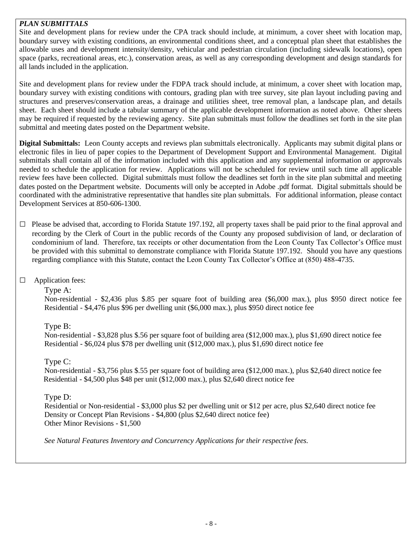# *PLAN SUBMITTALS*

Site and development plans for review under the CPA track should include, at minimum, a cover sheet with location map, boundary survey with existing conditions, an environmental conditions sheet, and a conceptual plan sheet that establishes the allowable uses and development intensity/density, vehicular and pedestrian circulation (including sidewalk locations), open space (parks, recreational areas, etc.), conservation areas, as well as any corresponding development and design standards for all lands included in the application.

Site and development plans for review under the FDPA track should include, at minimum, a cover sheet with location map, boundary survey with existing conditions with contours, grading plan with tree survey, site plan layout including paving and structures and preserves/conservation areas, a drainage and utilities sheet, tree removal plan, a landscape plan, and details sheet. Each sheet should include a tabular summary of the applicable development information as noted above. Other sheets may be required if requested by the reviewing agency. Site plan submittals must follow the deadlines set forth in the site plan submittal and meeting dates posted on the Department website.

**Digital Submittals:** Leon County accepts and reviews plan submittals electronically. Applicants may submit digital plans or electronic files in lieu of paper copies to the Department of Development Support and Environmental Management. Digital submittals shall contain all of the information included with this application and any supplemental information or approvals needed to schedule the application for review. Applications will not be scheduled for review until such time all applicable review fees have been collected. Digital submittals must follow the deadlines set forth in the site plan submittal and meeting dates posted on the Department website. Documents will only be accepted in Adobe .pdf format. Digital submittals should be coordinated with the administrative representative that handles site plan submittals. For additional information, please contact Development Services at 850-606-1300.

 $\Box$  Please be advised that, according to Florida Statute 197.192, all property taxes shall be paid prior to the final approval and recording by the Clerk of Court in the public records of the County any proposed subdivision of land, or declaration of condominium of land. Therefore, tax receipts or other documentation from the Leon County Tax Collector's Office must be provided with this submittal to demonstrate compliance with Florida Statute 197.192. Should you have any questions regarding compliance with this Statute, contact the Leon County Tax Collector's Office at (850) 488-4735.

# □ Application fees:

# Type A:

Non-residential - \$2,436 plus \$.85 per square foot of building area (\$6,000 max.), plus \$950 direct notice fee Residential - \$4,476 plus \$96 per dwelling unit (\$6,000 max.), plus \$950 direct notice fee

# Type B:

Non-residential - \$3,828 plus \$.56 per square foot of building area (\$12,000 max.), plus \$1,690 direct notice fee Residential - \$6,024 plus \$78 per dwelling unit (\$12,000 max.), plus \$1,690 direct notice fee

# Type C:

Non-residential - \$3,756 plus \$.55 per square foot of building area (\$12,000 max.), plus \$2,640 direct notice fee Residential - \$4,500 plus \$48 per unit (\$12,000 max.), plus \$2,640 direct notice fee

# Type D:

Residential or Non-residential - \$3,000 plus \$2 per dwelling unit or \$12 per acre, plus \$2,640 direct notice fee Density or Concept Plan Revisions - \$4,800 (plus \$2,640 direct notice fee) Other Minor Revisions - \$1,500

*See Natural Features Inventory and Concurrency Applications for their respective fees.*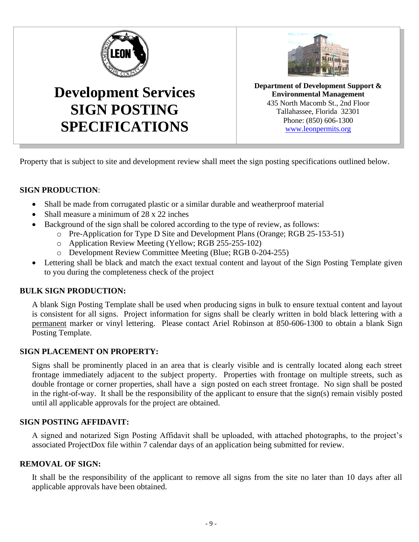

**SIGN POSTING**

**SPECIFICATIONS**



**Department of Development Support & Environmental Management** 435 North Macomb St., 2nd Floor Tallahassee, Florida 32301 Phone: (850) 606-1300 [www.leonpermits.org](http://www.leonpermits.org/)

Property that is subject to site and development review shall meet the sign posting specifications outlined below.

# **SIGN PRODUCTION**:

- Shall be made from corrugated plastic or a similar durable and weatherproof material
- Shall measure a minimum of 28 x 22 inches
- Background of the sign shall be colored according to the type of review, as follows:
	- o Pre-Application for Type D Site and Development Plans (Orange; RGB 25-153-51)
		- o Application Review Meeting (Yellow; RGB 255-255-102)
		- o Development Review Committee Meeting (Blue; RGB 0-204-255)
- Lettering shall be black and match the exact textual content and layout of the Sign Posting Template given to you during the completeness check of the project

# **BULK SIGN PRODUCTION:**

A blank Sign Posting Template shall be used when producing signs in bulk to ensure textual content and layout is consistent for all signs. Project information for signs shall be clearly written in bold black lettering with a permanent marker or vinyl lettering. Please contact Ariel Robinson at 850-606-1300 to obtain a blank Sign Posting Template.

# **SIGN PLACEMENT ON PROPERTY:**

Signs shall be prominently placed in an area that is clearly visible and is centrally located along each street frontage immediately adjacent to the subject property. Properties with frontage on multiple streets, such as double frontage or corner properties, shall have a sign posted on each street frontage. No sign shall be posted in the right-of-way. It shall be the responsibility of the applicant to ensure that the sign(s) remain visibly posted until all applicable approvals for the project are obtained.

# **SIGN POSTING AFFIDAVIT:**

A signed and notarized Sign Posting Affidavit shall be uploaded, with attached photographs, to the project's associated ProjectDox file within 7 calendar days of an application being submitted for review.

# **REMOVAL OF SIGN:**

It shall be the responsibility of the applicant to remove all signs from the site no later than 10 days after all applicable approvals have been obtained.